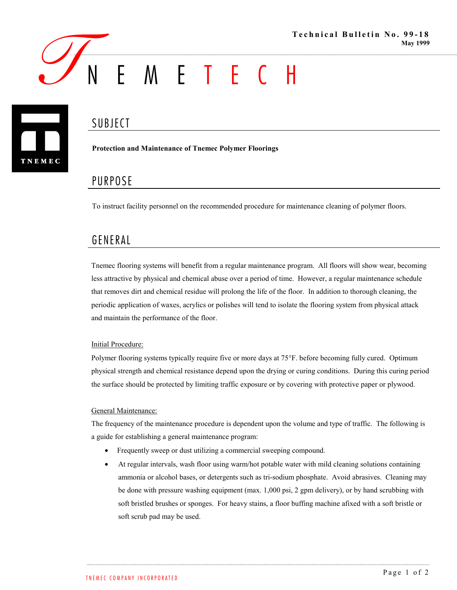

# **SUBJECT**



**Protection and Maintenance of Tnemec Polymer Floorings**

## PURPOSE

To instruct facility personnel on the recommended procedure for maintenance cleaning of polymer floors.

### GENERAL

Tnemec flooring systems will benefit from a regular maintenance program. All floors will show wear, becoming less attractive by physical and chemical abuse over a period of time. However, a regular maintenance schedule that removes dirt and chemical residue will prolong the life of the floor. In addition to thorough cleaning, the periodic application of waxes, acrylics or polishes will tend to isolate the flooring system from physical attack and maintain the performance of the floor.

#### Initial Procedure:

Polymer flooring systems typically require five or more days at 75°F. before becoming fully cured. Optimum physical strength and chemical resistance depend upon the drying or curing conditions. During this curing period the surface should be protected by limiting traffic exposure or by covering with protective paper or plywood.

#### General Maintenance:

The frequency of the maintenance procedure is dependent upon the volume and type of traffic. The following is a guide for establishing a general maintenance program:

- Frequently sweep or dust utilizing a commercial sweeping compound.
- At regular intervals, wash floor using warm/hot potable water with mild cleaning solutions containing ammonia or alcohol bases, or detergents such as tri-sodium phosphate. Avoid abrasives. Cleaning may be done with pressure washing equipment (max. 1,000 psi, 2 gpm delivery), or by hand scrubbing with soft bristled brushes or sponges. For heavy stains, a floor buffing machine afixed with a soft bristle or soft scrub pad may be used.